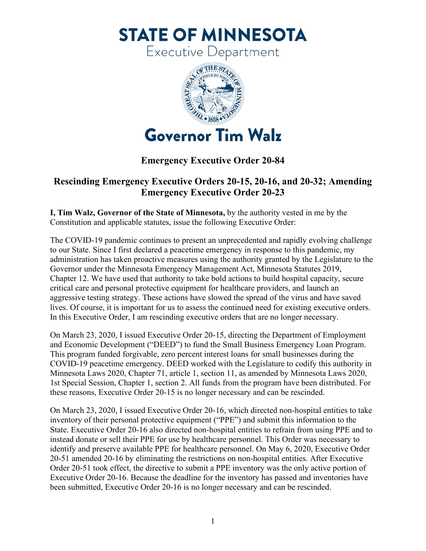**STATE OF MINNESOTA** 

Executive Department



## **Emergency Executive Order 20-84**

## **Rescinding Emergency Executive Orders 20-15, 20-16, and 20-32; Amending Emergency Executive Order 20-23**

**I, Tim Walz, Governor of the State of Minnesota,** by the authority vested in me by the Constitution and applicable statutes, issue the following Executive Order:

 to our State. Since I first declared a peacetime emergency in response to this pandemic, my critical care and personal protective equipment for healthcare providers, and launch an In this Executive Order, I am rescinding executive orders that are no longer necessary. The COVID-19 pandemic continues to present an unprecedented and rapidly evolving challenge administration has taken proactive measures using the authority granted by the Legislature to the Governor under the Minnesota Emergency Management Act, Minnesota Statutes 2019, Chapter 12. We have used that authority to take bold actions to build hospital capacity, secure aggressive testing strategy. These actions have slowed the spread of the virus and have saved lives. Of course, it is important for us to assess the continued need for existing executive orders.

On March 23, 2020, I issued Executive Order 20-15, directing the Department of Employment and Economic Development ("DEED") to fund the Small Business Emergency Loan Program. This program funded forgivable, zero percent interest loans for small businesses during the COVID-19 peacetime emergency. DEED worked with the Legislature to codify this authority in Minnesota Laws 2020, Chapter 71, article 1, section 11, as amended by Minnesota Laws 2020, 1st Special Session, Chapter 1, section 2. All funds from the program have been distributed. For these reasons, Executive Order 20-15 is no longer necessary and can be rescinded.

 State. Executive Order 20-16 also directed non-hospital entities to refrain from using PPE and to On March 23, 2020, I issued Executive Order 20-16, which directed non-hospital entities to take inventory of their personal protective equipment ("PPE") and submit this information to the instead donate or sell their PPE for use by healthcare personnel. This Order was necessary to identify and preserve available PPE for healthcare personnel. On May 6, 2020, Executive Order 20-51 amended 20-16 by eliminating the restrictions on non-hospital entities. After Executive Order 20-51 took effect, the directive to submit a PPE inventory was the only active portion of Executive Order 20-16. Because the deadline for the inventory has passed and inventories have been submitted, Executive Order 20-16 is no longer necessary and can be rescinded.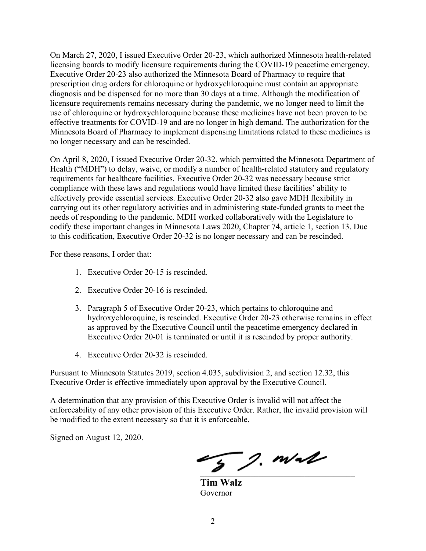Minnesota Board of Pharmacy to implement dispensing limitations related to these medicines is On March 27, 2020, I issued Executive Order 20-23, which authorized Minnesota health-related licensing boards to modify licensure requirements during the COVID-19 peacetime emergency. Executive Order 20-23 also authorized the Minnesota Board of Pharmacy to require that prescription drug orders for chloroquine or hydroxychloroquine must contain an appropriate diagnosis and be dispensed for no more than 30 days at a time. Although the modification of licensure requirements remains necessary during the pandemic, we no longer need to limit the use of chloroquine or hydroxychloroquine because these medicines have not been proven to be effective treatments for COVID-19 and are no longer in high demand. The authorization for the no longer necessary and can be rescinded.

 compliance with these laws and regulations would have limited these facilities' ability to On April 8, 2020, I issued Executive Order 20-32, which permitted the Minnesota Department of Health ("MDH") to delay, waive, or modify a number of health-related statutory and regulatory requirements for healthcare facilities. Executive Order 20-32 was necessary because strict effectively provide essential services. Executive Order 20-32 also gave MDH flexibility in carrying out its other regulatory activities and in administering state-funded grants to meet the needs of responding to the pandemic. MDH worked collaboratively with the Legislature to codify these important changes in Minnesota Laws 2020, Chapter 74, article 1, section 13. Due to this codification, Executive Order 20-32 is no longer necessary and can be rescinded.

For these reasons, I order that:

- 1. Executive Order 20-15 is rescinded.
- 2. Executive Order 20-16 is rescinded.
- 3. Paragraph 5 of Executive Order 20-23, which pertains to chloroquine and hydroxychloroquine, is rescinded. Executive Order 20-23 otherwise remains in effect as approved by the Executive Council until the peacetime emergency declared in Executive Order 20-01 is terminated or until it is rescinded by proper authority.
- 4. Executive Order 20-32 is rescinded.

Pursuant to Minnesota Statutes 2019, section 4.035, subdivision 2, and section 12.32, this Executive Order is effective immediately upon approval by the Executive Council.

A determination that any provision of this Executive Order is invalid will not affect the enforceability of any other provision of this Executive Order. Rather, the invalid provision will be modified to the extent necessary so that it is enforceable.

Signed on August 12, 2020.

 $\overline{2}$  ). Wall

**Tim Walz**  Governor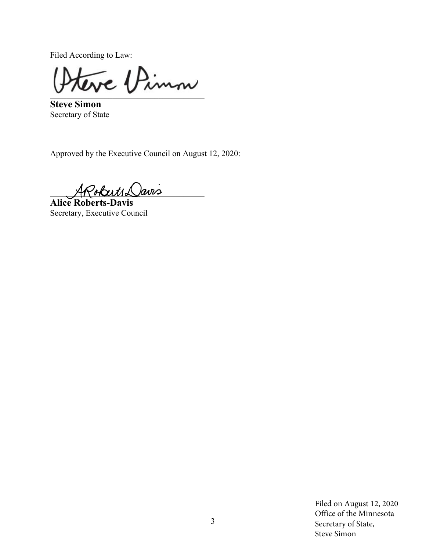Filed According to Law:

\_\_\_\_\_\_\_\_\_\_\_\_\_\_\_\_\_\_\_\_\_\_\_\_\_\_\_\_\_\_\_\_\_\_\_\_\_

**Steve Simon**  Secretary of State

Approved by the Executive Council on August 12, 2020:

Poberts Davis

**Alice Roberts-Davis**  Secretary, Executive Council